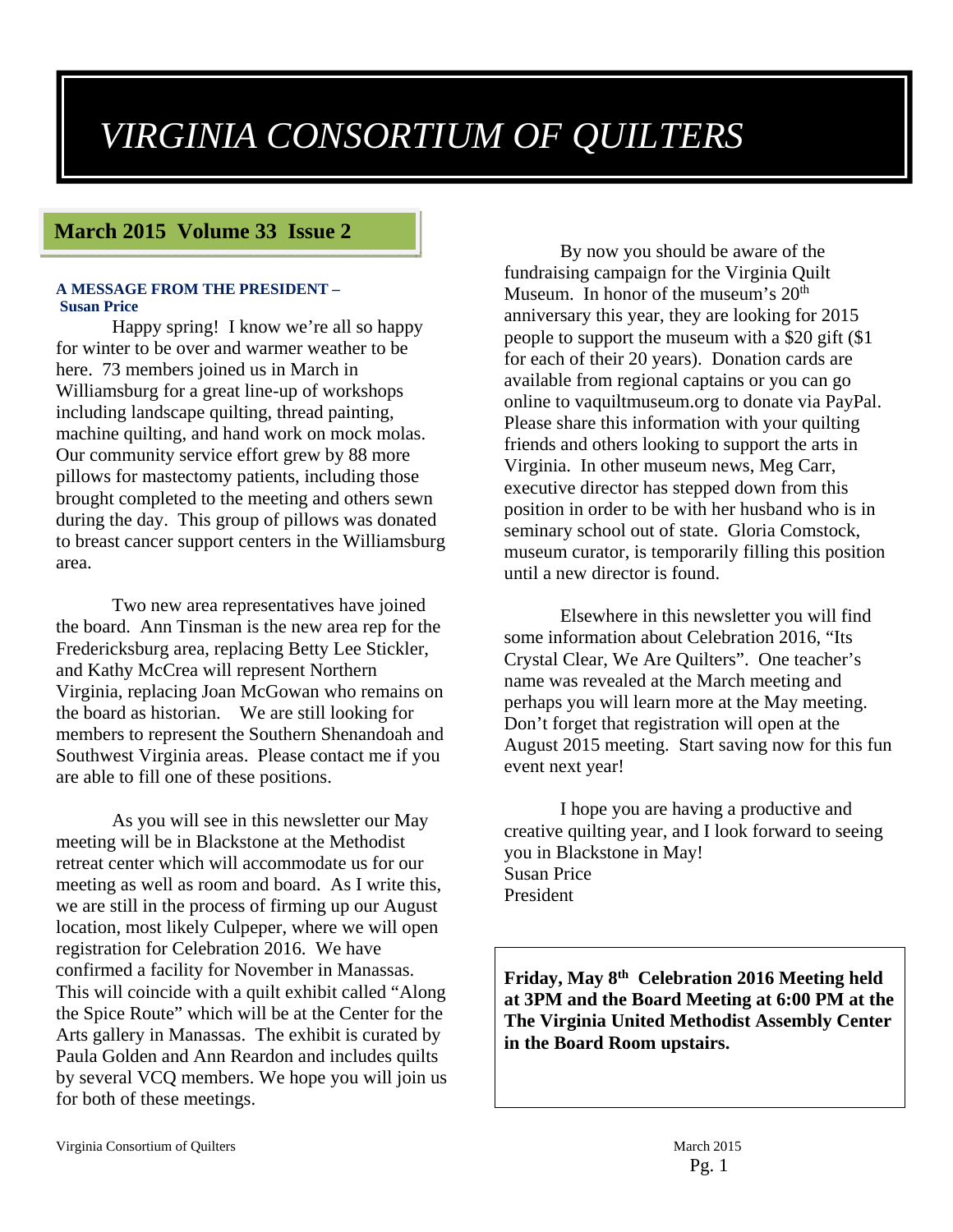# *VIRGINIA CONSORTIUM OF QUILTERS*

#### **March 2015 Volume 33 Issue 2**

#### **A MESSAGE FROM THE PRESIDENT – Susan Price**

Happy spring! I know we're all so happy for winter to be over and warmer weather to be here. 73 members joined us in March in Williamsburg for a great line-up of workshops including landscape quilting, thread painting, machine quilting, and hand work on mock molas. Our community service effort grew by 88 more pillows for mastectomy patients, including those brought completed to the meeting and others sewn during the day. This group of pillows was donated to breast cancer support centers in the Williamsburg area.

Two new area representatives have joined the board. Ann Tinsman is the new area rep for the Fredericksburg area, replacing Betty Lee Stickler, and Kathy McCrea will represent Northern Virginia, replacing Joan McGowan who remains on the board as historian. We are still looking for members to represent the Southern Shenandoah and Southwest Virginia areas. Please contact me if you are able to fill one of these positions.

As you will see in this newsletter our May meeting will be in Blackstone at the Methodist retreat center which will accommodate us for our meeting as well as room and board. As I write this, we are still in the process of firming up our August location, most likely Culpeper, where we will open registration for Celebration 2016. We have confirmed a facility for November in Manassas. This will coincide with a quilt exhibit called "Along the Spice Route" which will be at the Center for the Arts gallery in Manassas. The exhibit is curated by Paula Golden and Ann Reardon and includes quilts by several VCQ members. We hope you will join us for both of these meetings.

By now you should be aware of the fundraising campaign for the Virginia Quilt Museum. In honor of the museum's  $20<sup>th</sup>$ anniversary this year, they are looking for 2015 people to support the museum with a \$20 gift (\$1 for each of their 20 years). Donation cards are available from regional captains or you can go online to vaquiltmuseum.org to donate via PayPal. Please share this information with your quilting friends and others looking to support the arts in Virginia. In other museum news, Meg Carr, executive director has stepped down from this position in order to be with her husband who is in seminary school out of state. Gloria Comstock, museum curator, is temporarily filling this position until a new director is found.

Elsewhere in this newsletter you will find some information about Celebration 2016, "Its Crystal Clear, We Are Quilters". One teacher's name was revealed at the March meeting and perhaps you will learn more at the May meeting. Don't forget that registration will open at the August 2015 meeting. Start saving now for this fun event next year!

I hope you are having a productive and creative quilting year, and I look forward to seeing you in Blackstone in May! Susan Price President

**Friday, May 8th Celebration 2016 Meeting held at 3PM and the Board Meeting at 6:00 PM at the The Virginia United Methodist Assembly Center in the Board Room upstairs.**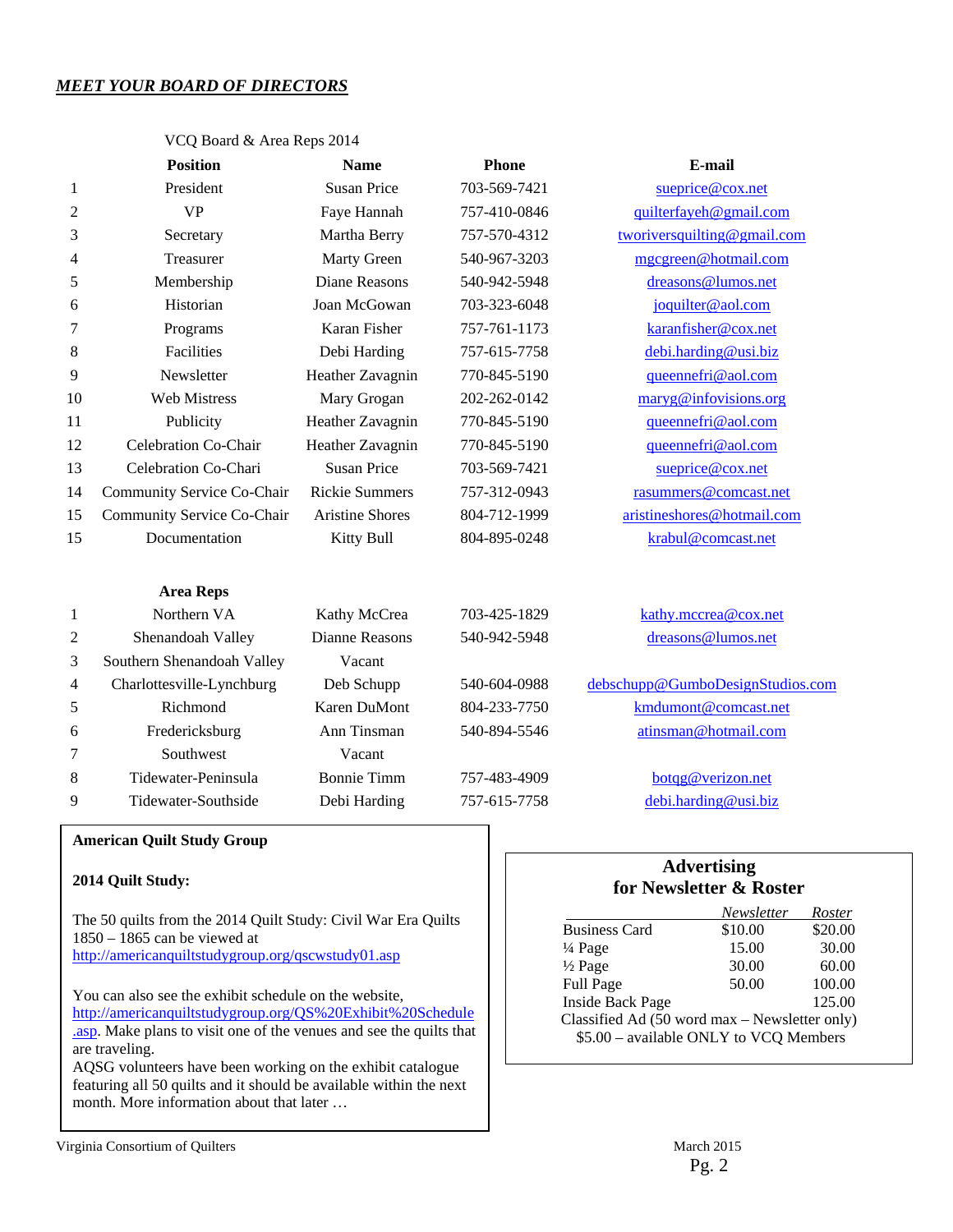#### *MEET YOUR BOARD OF DIRECTORS*

|                | <b>Position</b>            | <b>Name</b>                        | <b>Phone</b> | E-mail                           |  |
|----------------|----------------------------|------------------------------------|--------------|----------------------------------|--|
| 1              | President                  | <b>Susan Price</b><br>703-569-7421 |              | sueprice@cox.net                 |  |
| 2              | <b>VP</b>                  | Faye Hannah                        | 757-410-0846 | quilterfayeh@gmail.com           |  |
| 3              | Secretary                  | Martha Berry                       | 757-570-4312 | tworiversquilting@gmail.com      |  |
| 4              | Treasurer                  | Marty Green                        | 540-967-3203 | mgcgreen@hotmail.com             |  |
| 5              | Membership                 | <b>Diane Reasons</b>               | 540-942-5948 | dreasons@lumos.net               |  |
| 6              | Historian                  | Joan McGowan                       | 703-323-6048 | joquilter@aol.com                |  |
| 7              | Programs                   | Karan Fisher                       | 757-761-1173 | karanfisher@cox.net              |  |
| 8              | Facilities                 | Debi Harding                       | 757-615-7758 | debi.harding@usi.biz             |  |
| 9              | Newsletter                 | Heather Zavagnin                   | 770-845-5190 | queennefri@aol.com               |  |
| 10             | <b>Web Mistress</b>        | Mary Grogan                        | 202-262-0142 | maryg@infovisions.org            |  |
| 11             | Publicity                  | Heather Zavagnin                   | 770-845-5190 | queennefri@aol.com               |  |
| 12             | Celebration Co-Chair       | Heather Zavagnin                   | 770-845-5190 | queennefri@aol.com               |  |
| 13             | Celebration Co-Chari       | <b>Susan Price</b>                 | 703-569-7421 | sueprice@cox.net                 |  |
| 14             | Community Service Co-Chair | <b>Rickie Summers</b>              | 757-312-0943 | rasummers@comcast.net            |  |
| 15             | Community Service Co-Chair | <b>Aristine Shores</b>             | 804-712-1999 | aristineshores@hotmail.com       |  |
| 15             | Documentation              | Kitty Bull                         | 804-895-0248 | krabul@comcast.net               |  |
|                | <b>Area Reps</b>           |                                    |              |                                  |  |
| 1              | Northern VA                | Kathy McCrea                       | 703-425-1829 | kathy.mccrea@cox.net             |  |
| 2              | Shenandoah Valley          | Dianne Reasons                     | 540-942-5948 | dreasons@lumos.net               |  |
| 3              | Southern Shenandoah Valley | Vacant                             |              |                                  |  |
| $\overline{4}$ | Charlottesville-Lynchburg  | Deb Schupp                         | 540-604-0988 | debschupp@GumboDesignStudios.com |  |
| 5              | Richmond                   | Karen DuMont                       | 804-233-7750 | kmdumont@comcast.net             |  |

6 Fredericksburg Ann Tinsman 540-894-5546 atinsman@hotmail.com

8 Tidewater-Peninsula Bonnie Timm 757-483-4909 botqg@verizon.net 9 Tidewater-Southside Debi Harding 757-615-7758 debi.harding@usi.biz

VCQ Board & Area Reps 2014

#### **American Quilt Study Group**

#### **2014 Quilt Study:**

The 50 quilts from the 2014 Quilt Study: Civil War Era Quilts 1850 – 1865 can be viewed at http://americanquiltstudygroup.org/qscwstudy01.asp

7 Southwest Vacant

You can also see the exhibit schedule on the website, http://americanquiltstudygroup.org/QS%20Exhibit%20Schedule .asp. Make plans to visit one of the venues and see the quilts that are traveling.

AQSG volunteers have been working on the exhibit catalogue featuring all 50 quilts and it should be available within the next month. More information about that later …

#### **Advertising for Newsletter & Roster**

|                                               | Newsletter | <i>Roster</i> |  |  |  |  |
|-----------------------------------------------|------------|---------------|--|--|--|--|
| <b>Business Card</b>                          | \$10.00    | \$20.00       |  |  |  |  |
| $\frac{1}{4}$ Page                            | 15.00      | 30.00         |  |  |  |  |
| $\frac{1}{2}$ Page                            | 30.00      | 60.00         |  |  |  |  |
| Full Page                                     | 50.00      | 100.00        |  |  |  |  |
| <b>Inside Back Page</b>                       |            | 125.00        |  |  |  |  |
| Classified Ad (50 word max – Newsletter only) |            |               |  |  |  |  |
| \$5.00 - available ONLY to VCQ Members        |            |               |  |  |  |  |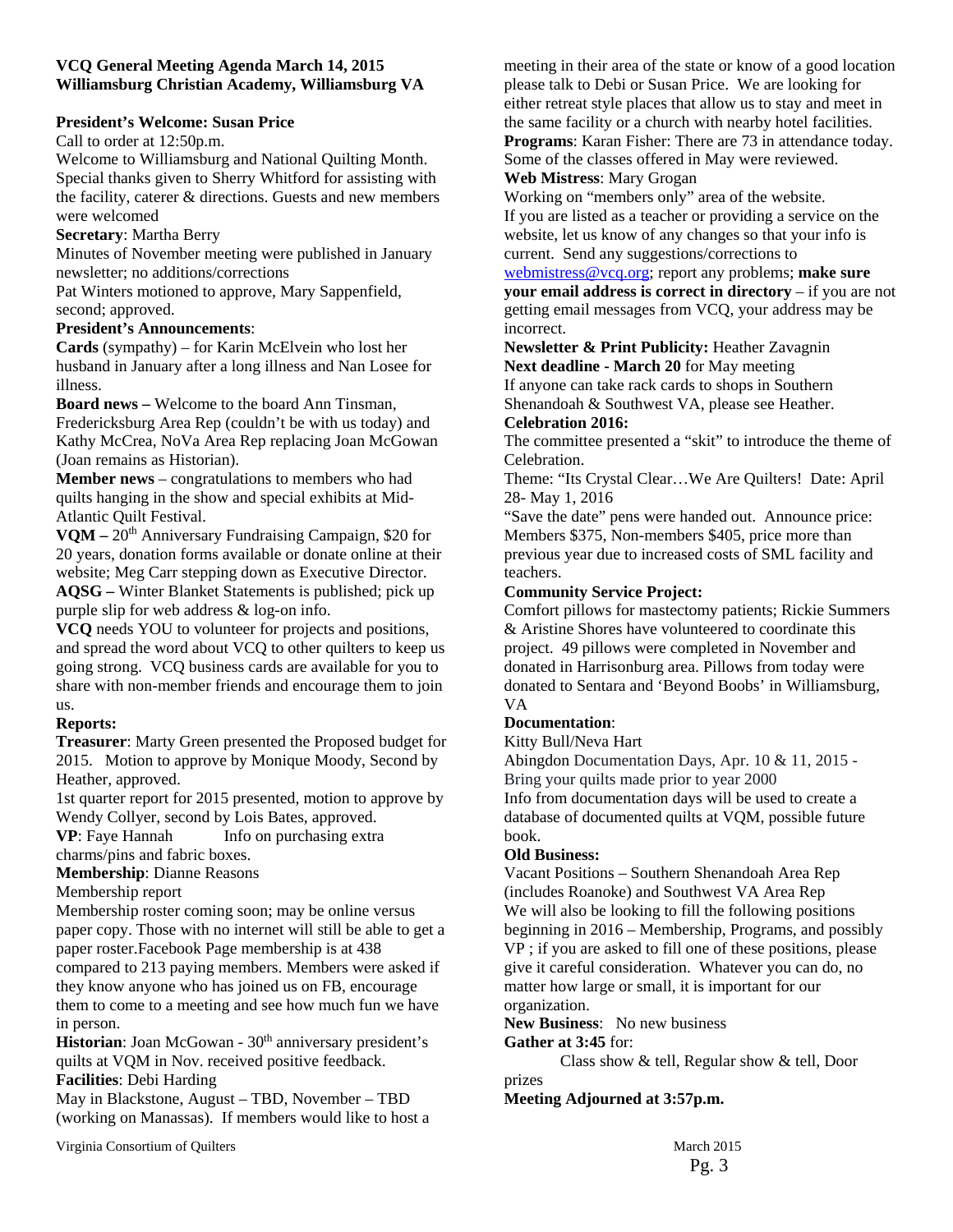#### **VCQ General Meeting Agenda March 14, 2015 Williamsburg Christian Academy, Williamsburg VA**

#### **President's Welcome: Susan Price**

Call to order at 12:50p.m.

Welcome to Williamsburg and National Quilting Month. Special thanks given to Sherry Whitford for assisting with the facility, caterer & directions. Guests and new members were welcomed

#### **Secretary**: Martha Berry

Minutes of November meeting were published in January newsletter; no additions/corrections

Pat Winters motioned to approve, Mary Sappenfield, second; approved.

#### **President's Announcements**:

**Cards** (sympathy) – for Karin McElvein who lost her husband in January after a long illness and Nan Losee for illness.

**Board news –** Welcome to the board Ann Tinsman, Fredericksburg Area Rep (couldn't be with us today) and Kathy McCrea, NoVa Area Rep replacing Joan McGowan (Joan remains as Historian).

**Member news** – congratulations to members who had quilts hanging in the show and special exhibits at Mid-Atlantic Quilt Festival.

VQM – 20<sup>th</sup> Anniversary Fundraising Campaign, \$20 for 20 years, donation forms available or donate online at their website; Meg Carr stepping down as Executive Director. **AQSG –** Winter Blanket Statements is published; pick up purple slip for web address & log-on info.

**VCQ** needs YOU to volunteer for projects and positions, and spread the word about VCQ to other quilters to keep us going strong. VCQ business cards are available for you to share with non-member friends and encourage them to join us.

#### **Reports:**

**Treasurer**: Marty Green presented the Proposed budget for 2015. Motion to approve by Monique Moody, Second by Heather, approved.

1st quarter report for 2015 presented, motion to approve by Wendy Collyer, second by Lois Bates, approved.

**VP**: Faye Hannah Info on purchasing extra charms/pins and fabric boxes.

**Membership**: Dianne Reasons

#### Membership report

Membership roster coming soon; may be online versus paper copy. Those with no internet will still be able to get a paper roster.Facebook Page membership is at 438 compared to 213 paying members. Members were asked if they know anyone who has joined us on FB, encourage them to come to a meeting and see how much fun we have in person.

**Historian**: Joan McGowan - 30<sup>th</sup> anniversary president's quilts at VQM in Nov. received positive feedback. **Facilities**: Debi Harding

May in Blackstone, August – TBD, November – TBD (working on Manassas). If members would like to host a

Virginia Consortium of Quilters March 2015

meeting in their area of the state or know of a good location please talk to Debi or Susan Price. We are looking for either retreat style places that allow us to stay and meet in the same facility or a church with nearby hotel facilities. **Programs**: Karan Fisher: There are 73 in attendance today. Some of the classes offered in May were reviewed.

#### **Web Mistress**: Mary Grogan

Working on "members only" area of the website. If you are listed as a teacher or providing a service on the website, let us know of any changes so that your info is current. Send any suggestions/corrections to

webmistress@vcq.org; report any problems; **make sure your email address is correct in directory** – if you are not getting email messages from VCQ, your address may be incorrect.

#### **Newsletter & Print Publicity:** Heather Zavagnin **Next deadline - March 20** for May meeting

If anyone can take rack cards to shops in Southern Shenandoah & Southwest VA, please see Heather. **Celebration 2016:** 

#### The committee presented a "skit" to introduce the theme of Celebration.

Theme: "Its Crystal Clear…We Are Quilters! Date: April 28- May 1, 2016

"Save the date" pens were handed out. Announce price: Members \$375, Non-members \$405, price more than previous year due to increased costs of SML facility and teachers.

#### **Community Service Project:**

Comfort pillows for mastectomy patients; Rickie Summers & Aristine Shores have volunteered to coordinate this project. 49 pillows were completed in November and donated in Harrisonburg area. Pillows from today were donated to Sentara and 'Beyond Boobs' in Williamsburg, VA

#### **Documentation**:

Kitty Bull/Neva Hart

Abingdon Documentation Days, Apr. 10 & 11, 2015 - Bring your quilts made prior to year 2000 Info from documentation days will be used to create a database of documented quilts at VQM, possible future book.

#### **Old Business:**

Vacant Positions – Southern Shenandoah Area Rep (includes Roanoke) and Southwest VA Area Rep We will also be looking to fill the following positions beginning in 2016 – Membership, Programs, and possibly VP ; if you are asked to fill one of these positions, please give it careful consideration. Whatever you can do, no matter how large or small, it is important for our organization.

**New Business**: No new business

#### **Gather at 3:45** for:

 Class show & tell, Regular show & tell, Door prizes

**Meeting Adjourned at 3:57p.m.**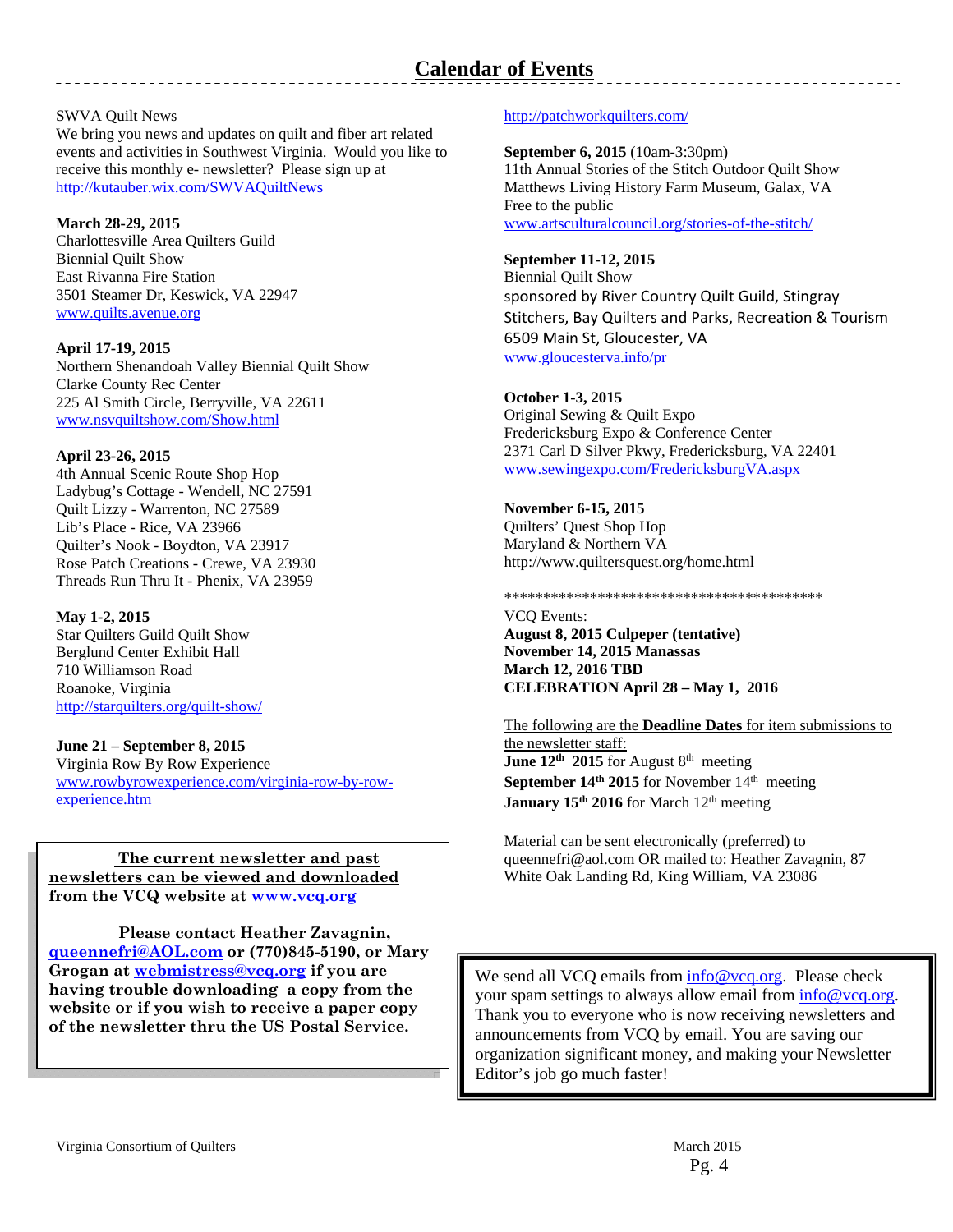#### SWVA Quilt News

We bring you news and updates on quilt and fiber art related events and activities in Southwest Virginia. Would you like to receive this monthly e- newsletter? Please sign up at http://kutauber.wix.com/SWVAQuiltNews

#### **March 28-29, 2015**

Charlottesville Area Quilters Guild Biennial Quilt Show East Rivanna Fire Station 3501 Steamer Dr, Keswick, VA 22947 www.quilts.avenue.org

#### **April 17-19, 2015**

Northern Shenandoah Valley Biennial Quilt Show Clarke County Rec Center 225 Al Smith Circle, Berryville, VA 22611 www.nsvquiltshow.com/Show.html

#### **April 23-26, 2015**

4th Annual Scenic Route Shop Hop Ladybug's Cottage - Wendell, NC 27591 Quilt Lizzy - Warrenton, NC 27589 Lib's Place - Rice, VA 23966 Quilter's Nook - Boydton, VA 23917 Rose Patch Creations - Crewe, VA 23930 Threads Run Thru It - Phenix, VA 23959

#### **May 1-2, 2015**

Star Quilters Guild Quilt Show Berglund Center Exhibit Hall 710 Williamson Road Roanoke, Virginia http://starquilters.org/quilt-show/

#### **June 21 – September 8, 2015**

Virginia Row By Row Experience www.rowbyrowexperience.com/virginia-row-by-rowexperience.htm

#### from the VCQ website at www.vcq.org 2015 Patchwork Quilter Jamboree  **The current newsletter and past newsletters can be viewed and downloaded**

 **Please contact Heather Zavagnin, queennefri@AOL.com or (770)845-5190, or Mary Grogan at webmistress@vcq.org if you are having trouble downloading a copy from the website or if you wish to receive a paper copy of the newsletter thru the US Postal Service.** 

#### http://patchworkquilters.com/

#### **September 6, 2015** (10am-3:30pm)

11th Annual Stories of the Stitch Outdoor Quilt Show Matthews Living History Farm Museum, Galax, VA Free to the public www.artsculturalcouncil.org/stories-of-the-stitch/

#### **September 11-12, 2015**

Biennial Quilt Show sponsored by River Country Quilt Guild, Stingray Stitchers, Bay Quilters and Parks, Recreation & Tourism 6509 Main St, Gloucester, VA www.gloucesterva.info/pr

#### **October 1-3, 2015**

Original Sewing & Quilt Expo Fredericksburg Expo & Conference Center 2371 Carl D Silver Pkwy, Fredericksburg, VA 22401 www.sewingexpo.com/FredericksburgVA.aspx

## **November 6-15, 2015**

Quilters' Quest Shop Hop Maryland & Northern VA http://www.quiltersquest.org/home.html

#### \*\*\*\*\*\*\*\*\*\*\*\*\*\*\*\*\*\*\*\*\*\*\*\*\*\*\*\*\*\*\*\*\*\*\*\*\*\*\*\*\*

VCQ Events: **August 8, 2015 Culpeper (tentative) November 14, 2015 Manassas March 12, 2016 TBD CELEBRATION April 28 – May 1, 2016** 

#### The following are the **Deadline Dates** for item submissions to the newsletter staff: **June 12<sup>th</sup> 2015** for August 8<sup>th</sup> meeting **September 14<sup>th</sup> 2015** for November 14<sup>th</sup> meeting **January 15<sup>th</sup> 2016** for March 12<sup>th</sup> meeting

Material can be sent electronically (preferred) to queennefri@aol.com OR mailed to: Heather Zavagnin, 87 White Oak Landing Rd, King William, VA 23086

We send all VCQ emails from  $info@vcq.org$ . Please check your spam settings to always allow email from info@vcq.org. Thank you to everyone who is now receiving newsletters and announcements from VCQ by email. You are saving our organization significant money, and making your Newsletter Editor's job go much faster!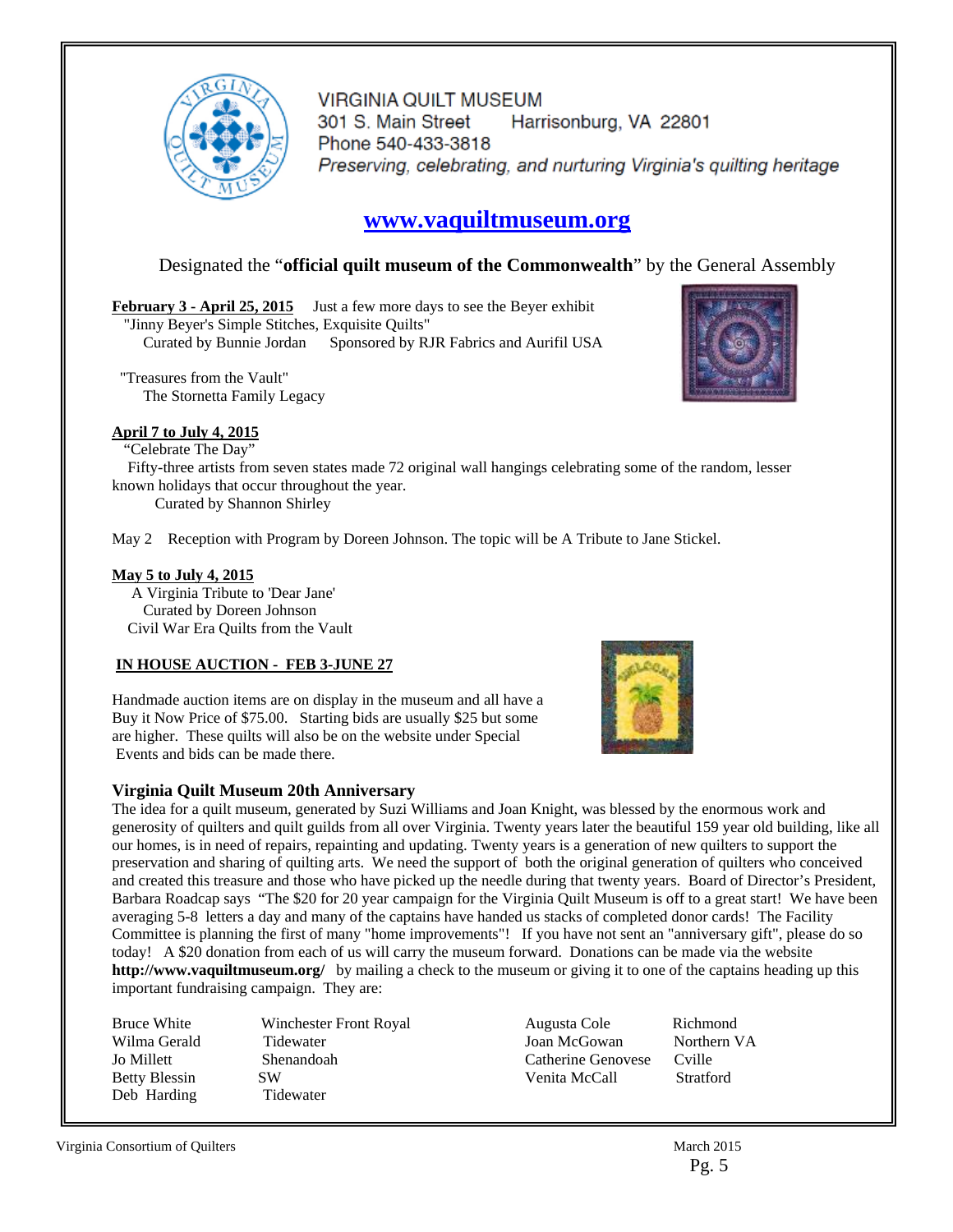

**VIRGINIA QUILT MUSEUM** 301 S. Main Street Harrisonburg, VA 22801 Phone 540-433-3818 Preserving, celebrating, and nurturing Virginia's quilting heritage

### **www.vaquiltmuseum.org**

#### Designated the "**official quilt museum of the Commonwealth**" by the General Assembly

February 3 - April 25, 2015 Just a few more days to see the Beyer exhibit "Jinny Beyer's Simple Stitches, Exquisite Quilts" Curated by Bunnie Jordan Sponsored by RJR Fabrics and Aurifil USA

 "Treasures from the Vault" The Stornetta Family Legacy

#### **April 7 to July 4, 2015**

"Celebrate The Day"

 Fifty-three artists from seven states made 72 original wall hangings celebrating some of the random, lesser known holidays that occur throughout the year.

Curated by Shannon Shirley

May 2 Reception with Program by Doreen Johnson. The topic will be A Tribute to Jane Stickel.

#### **May 5 to July 4, 2015**

 A Virginia Tribute to 'Dear Jane' Curated by Doreen Johnson Civil War Era Quilts from the Vault

#### **IN HOUSE AUCTION - FEB 3-JUNE 27**

Handmade auction items are on display in the museum and all have a Buy it Now Price of \$75.00. Starting bids are usually \$25 but some are higher. These quilts will also be on the website under Special Events and bids can be made there.

#### **Virginia Quilt Museum 20th Anniversary**

The idea for a quilt museum, generated by Suzi Williams and Joan Knight, was blessed by the enormous work and generosity of quilters and quilt guilds from all over Virginia. Twenty years later the beautiful 159 year old building, like all our homes, is in need of repairs, repainting and updating. Twenty years is a generation of new quilters to support the preservation and sharing of quilting arts. We need the support of both the original generation of quilters who conceived and created this treasure and those who have picked up the needle during that twenty years. Board of Director's President, Barbara Roadcap says "The \$20 for 20 year campaign for the Virginia Quilt Museum is off to a great start! We have been averaging 5-8 letters a day and many of the captains have handed us stacks of completed donor cards! The Facility Committee is planning the first of many "home improvements"! If you have not sent an "anniversary gift", please do so today! A \$20 donation from each of us will carry the museum forward. Donations can be made via the website **http://www.vaquiltmuseum.org/** by mailing a check to the museum or giving it to one of the captains heading up this important fundraising campaign. They are:

Wilma Gerald Tidewater Jo Millett Shenandoah Betty Blessin SW Deb Harding Tidewater

Bruce White Winchester Front Royal

Augusta Cole Richmond Joan McGowan Catherine Genovese Cville Venita McCall Stratford



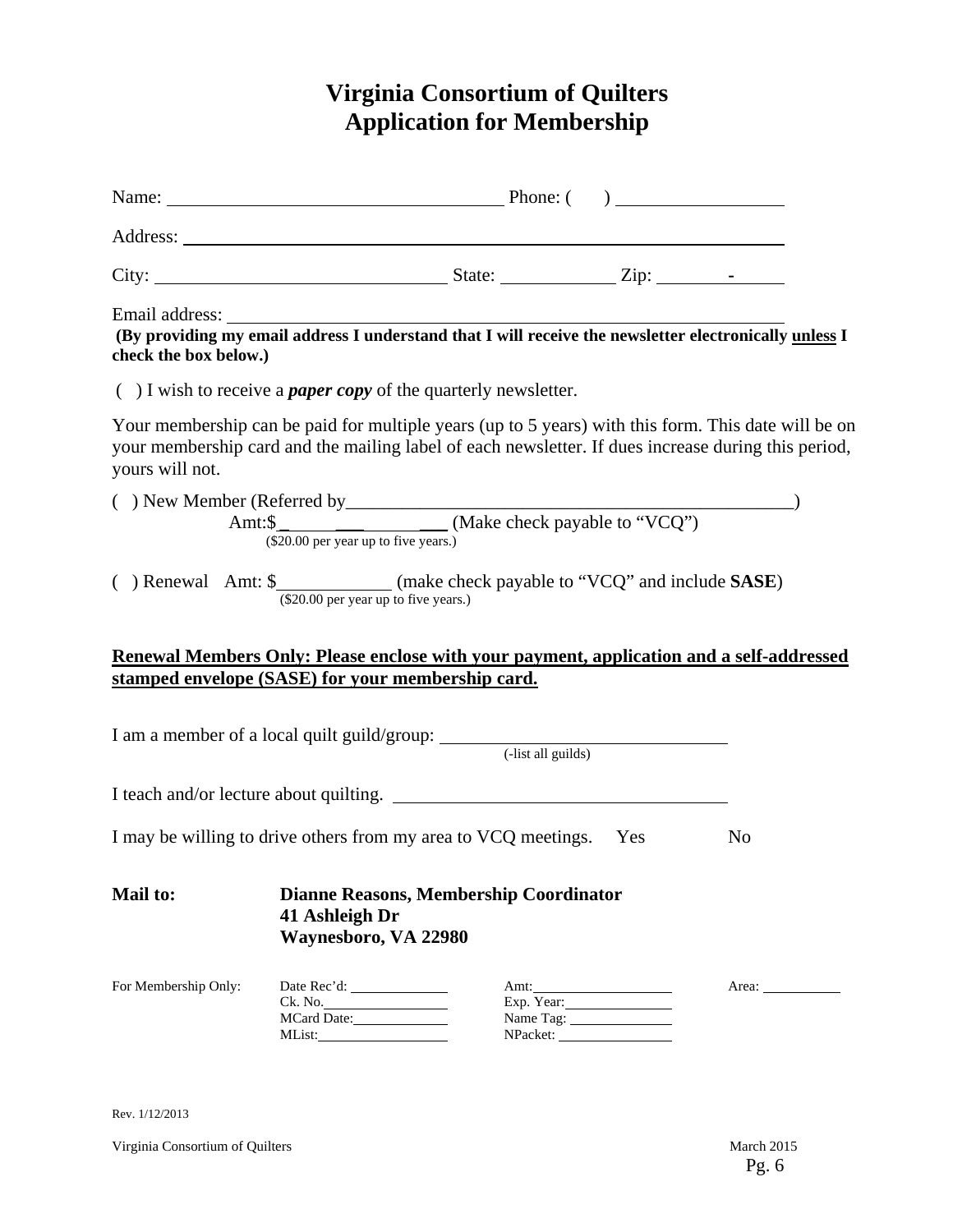## **Virginia Consortium of Quilters Application for Membership**

| check the box below.)                                                         |                                        |                                               |                        | Email address: The address of the set of the set of the set of the set of the set of the set of the providing my email address I understand that I will receive the newsletter electronically unless I     |  |
|-------------------------------------------------------------------------------|----------------------------------------|-----------------------------------------------|------------------------|------------------------------------------------------------------------------------------------------------------------------------------------------------------------------------------------------------|--|
| $( )$ I wish to receive a <i>paper copy</i> of the quarterly newsletter.      |                                        |                                               |                        |                                                                                                                                                                                                            |  |
| yours will not.                                                               |                                        |                                               |                        | Your membership can be paid for multiple years (up to 5 years) with this form. This date will be on<br>your membership card and the mailing label of each newsletter. If dues increase during this period, |  |
|                                                                               | $(\$20.00$ per year up to five years.) |                                               |                        |                                                                                                                                                                                                            |  |
| () Renewal Amt: \$_____________(make check payable to "VCQ" and include SASE) | (\$20.00 per year up to five years.)   |                                               |                        |                                                                                                                                                                                                            |  |
|                                                                               |                                        |                                               |                        | Renewal Members Only: Please enclose with your payment, application and a self-addressed                                                                                                                   |  |
| stamped envelope (SASE) for your membership card.                             |                                        |                                               |                        |                                                                                                                                                                                                            |  |
| I am a member of a local quilt guild/group: (-list all guilds)                |                                        |                                               |                        |                                                                                                                                                                                                            |  |
| I teach and/or lecture about quilting.                                        |                                        |                                               |                        |                                                                                                                                                                                                            |  |
| I may be willing to drive others from my area to VCQ meetings. Yes            |                                        |                                               |                        | N <sub>0</sub>                                                                                                                                                                                             |  |
| <b>Mail to:</b>                                                               | 41 Ashleigh Dr<br>Waynesboro, VA 22980 | <b>Dianne Reasons, Membership Coordinator</b> |                        |                                                                                                                                                                                                            |  |
| For Membership Only:                                                          | MList:                                 |                                               | Exp. Year:<br>NPacket: | Area: $\sqrt{\frac{2}{\pi}}$                                                                                                                                                                               |  |

Rev. 1/12/2013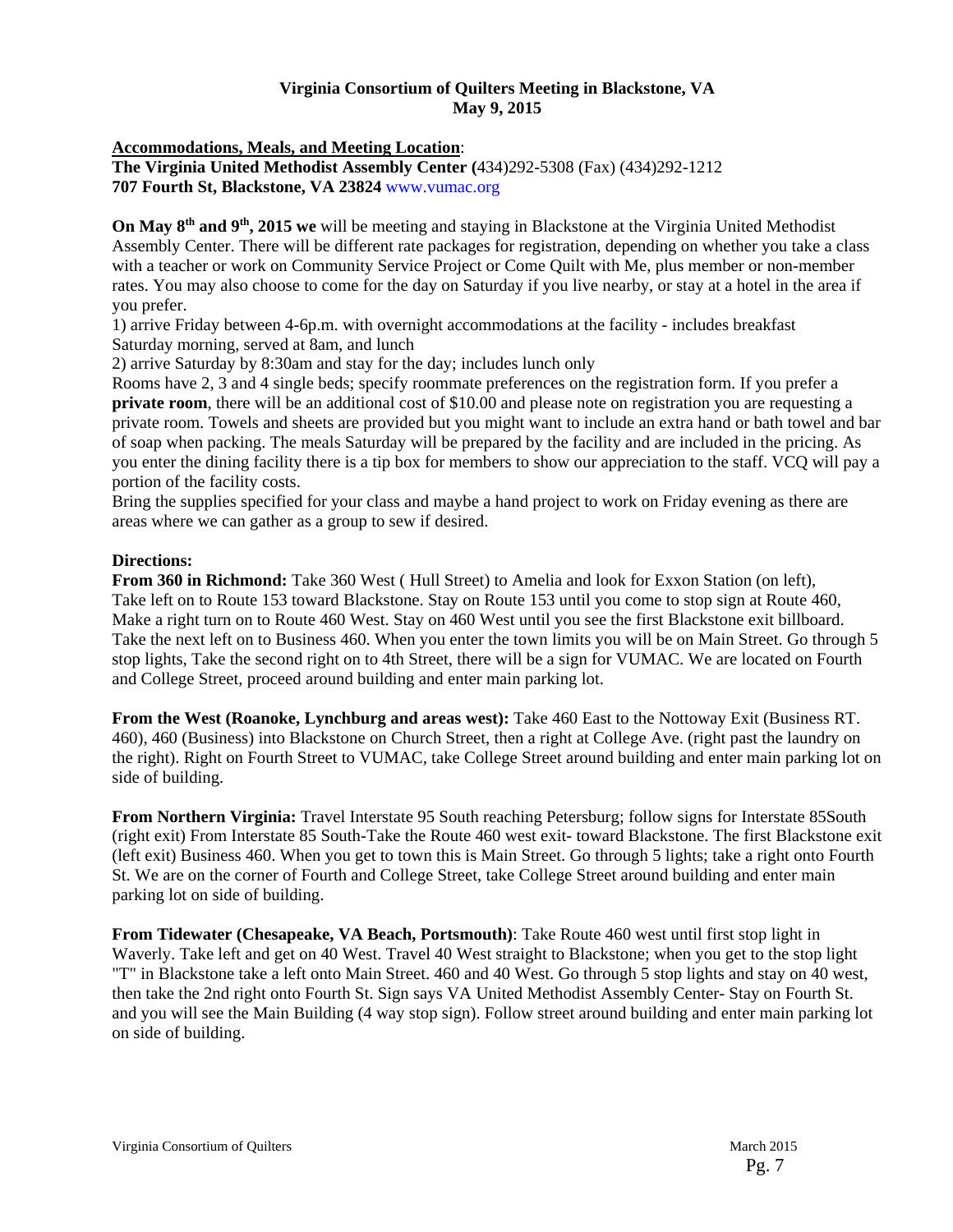#### **Virginia Consortium of Quilters Meeting in Blackstone, VA May 9, 2015**

**Accommodations, Meals, and Meeting Location**:

**The Virginia United Methodist Assembly Center (**434)292-5308 (Fax) (434)292-1212 **707 Fourth St, Blackstone, VA 23824** www.vumac.org

**On May 8th and 9th, 2015 we** will be meeting and staying in Blackstone at the Virginia United Methodist Assembly Center. There will be different rate packages for registration, depending on whether you take a class with a teacher or work on Community Service Project or Come Quilt with Me, plus member or non-member rates. You may also choose to come for the day on Saturday if you live nearby, or stay at a hotel in the area if you prefer.

1) arrive Friday between 4-6p.m. with overnight accommodations at the facility - includes breakfast Saturday morning, served at 8am, and lunch

2) arrive Saturday by 8:30am and stay for the day; includes lunch only

Rooms have 2, 3 and 4 single beds; specify roommate preferences on the registration form. If you prefer a **private room**, there will be an additional cost of \$10.00 and please note on registration you are requesting a private room. Towels and sheets are provided but you might want to include an extra hand or bath towel and bar of soap when packing. The meals Saturday will be prepared by the facility and are included in the pricing. As you enter the dining facility there is a tip box for members to show our appreciation to the staff. VCQ will pay a portion of the facility costs.

Bring the supplies specified for your class and maybe a hand project to work on Friday evening as there are areas where we can gather as a group to sew if desired.

#### **Directions:**

**From 360 in Richmond:** Take 360 West ( Hull Street) to Amelia and look for Exxon Station (on left), Take left on to Route 153 toward Blackstone. Stay on Route 153 until you come to stop sign at Route 460, Make a right turn on to Route 460 West. Stay on 460 West until you see the first Blackstone exit billboard. Take the next left on to Business 460. When you enter the town limits you will be on Main Street. Go through 5 stop lights, Take the second right on to 4th Street, there will be a sign for VUMAC. We are located on Fourth and College Street, proceed around building and enter main parking lot.

**From the West (Roanoke, Lynchburg and areas west):** Take 460 East to the Nottoway Exit (Business RT. 460), 460 (Business) into Blackstone on Church Street, then a right at College Ave. (right past the laundry on the right). Right on Fourth Street to VUMAC, take College Street around building and enter main parking lot on side of building.

**From Northern Virginia:** Travel Interstate 95 South reaching Petersburg; follow signs for Interstate 85South (right exit) From Interstate 85 South-Take the Route 460 west exit- toward Blackstone. The first Blackstone exit (left exit) Business 460. When you get to town this is Main Street. Go through 5 lights; take a right onto Fourth St. We are on the corner of Fourth and College Street, take College Street around building and enter main parking lot on side of building.

**From Tidewater (Chesapeake, VA Beach, Portsmouth)**: Take Route 460 west until first stop light in Waverly. Take left and get on 40 West. Travel 40 West straight to Blackstone; when you get to the stop light "T" in Blackstone take a left onto Main Street. 460 and 40 West. Go through 5 stop lights and stay on 40 west, then take the 2nd right onto Fourth St. Sign says VA United Methodist Assembly Center- Stay on Fourth St. and you will see the Main Building (4 way stop sign). Follow street around building and enter main parking lot on side of building.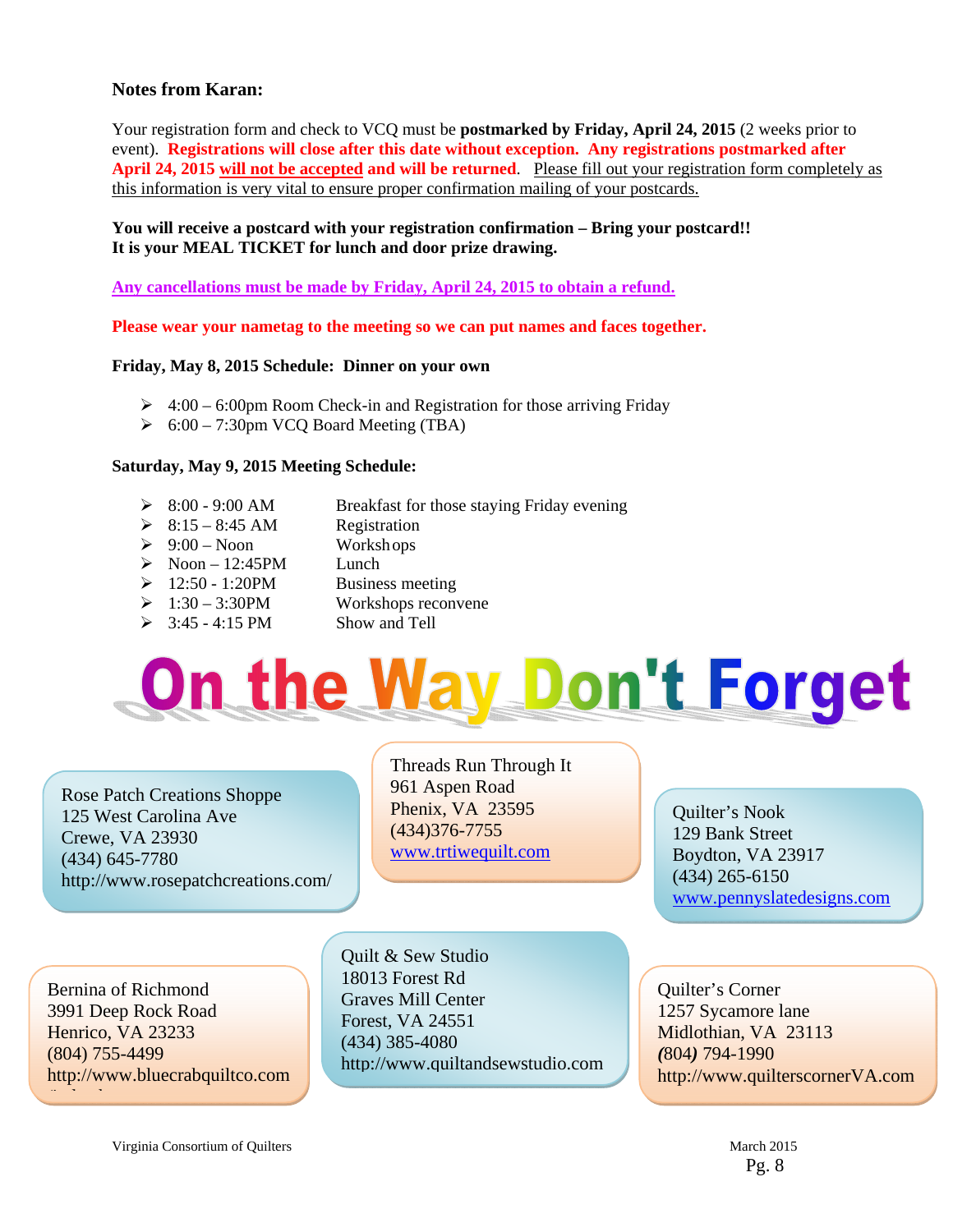#### **Notes from Karan:**

Your registration form and check to VCQ must be **postmarked by Friday, April 24, 2015** (2 weeks prior to event). **Registrations will close after this date without exception. Any registrations postmarked after April 24, 2015 will not be accepted and will be returned**. Please fill out your registration form completely as this information is very vital to ensure proper confirmation mailing of your postcards.

#### **You will receive a postcard with your registration confirmation – Bring your postcard!! It is your MEAL TICKET for lunch and door prize drawing.**

**Any cancellations must be made by Friday, April 24, 2015 to obtain a refund.** 

**Please wear your nametag to the meeting so we can put names and faces together.** 

#### **Friday, May 8, 2015 Schedule: Dinner on your own**

- $\geq 4:00 6:00$  pm Room Check-in and Registration for those arriving Friday
- $\geq 6:00 7:30$ pm VCQ Board Meeting (TBA)

#### **Saturday, May 9, 2015 Meeting Schedule:**

- 8:00 9:00 AM Breakfast for those staying Friday evening
- $\geq 8:15 8:45$  AM Registration
- $\geq 9:00$  Noon Workshops
- $\triangleright$  Noon 12:45PM Lunch
- $\geq 12:50 1:20$ PM Business meeting
	-
- $\geq 1:30 3:30$ PM Workshops reconvene
- $\geq$  3:45 4:15 PM Show and Tell

# On the Way Don't Forget

Rose Patch Creations Shoppe 125 West Carolina Ave Crewe, VA 23930 (434) 645-7780 http://www.rosepatchcreations.com/

Bernina of Richmond 3991 Deep Rock Road Henrico, VA 23233 (804) 755-4499 http://www.bluecrabquiltco.com

/i d h

Threads Run Through It 961 Aspen Road Phenix, VA 23595 (434)376-7755 www.trtiwequilt.com

Quilter's Nook 129 Bank Street Boydton, VA 23917 (434) 265-6150 www.pennyslatedesigns.com

Quilt & Sew Studio 18013 Forest Rd Graves Mill Center Forest, VA 24551 (434) 385-4080 http://www.quiltandsewstudio.com

Quilter's Corner 1257 Sycamore lane Midlothian, VA 23113 *(*804*)* 794-1990 http://www.quilterscornerVA.com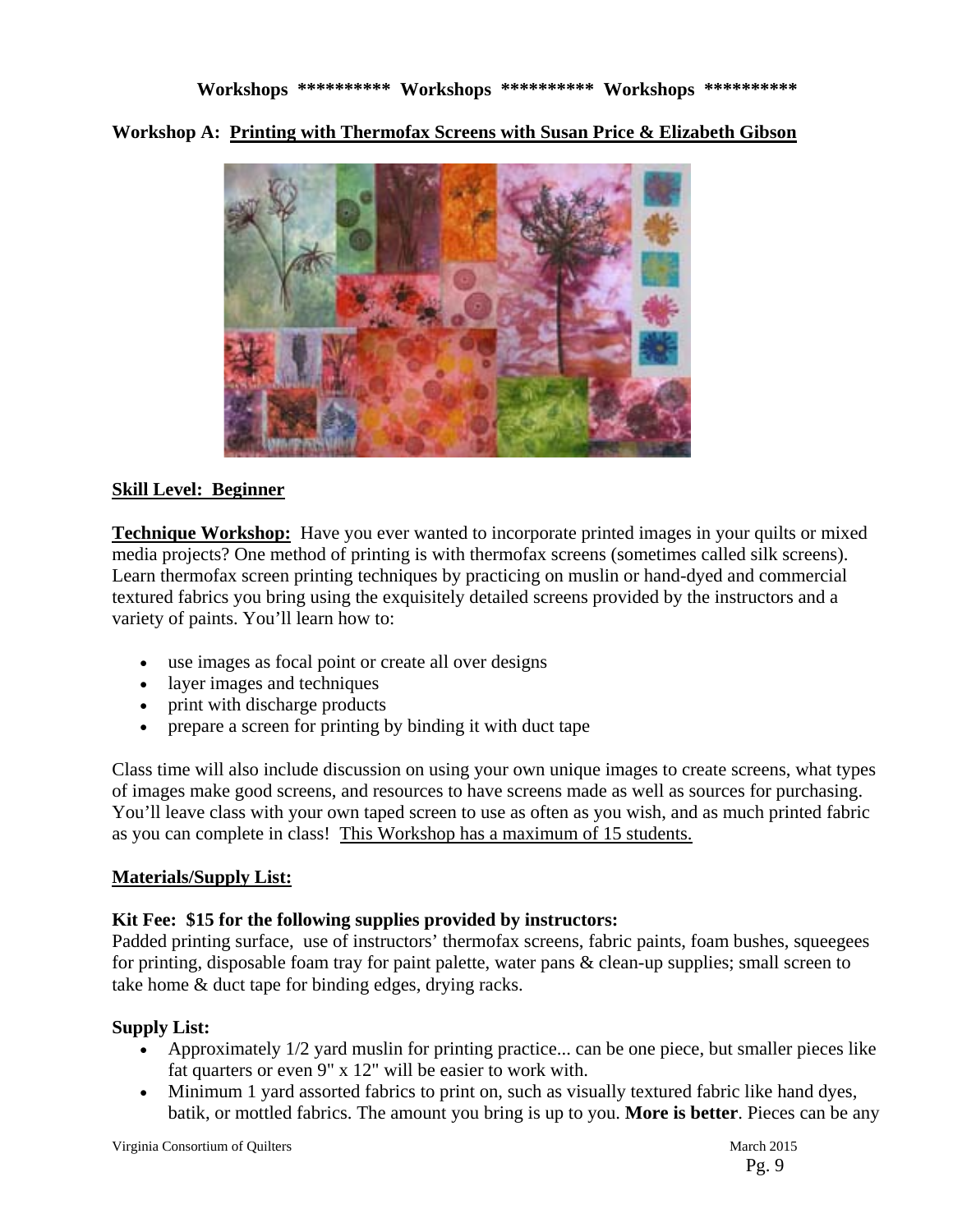**Workshop A: Printing with Thermofax Screens with Susan Price & Elizabeth Gibson** 



#### **Skill Level: Beginner**

**Technique Workshop:** Have you ever wanted to incorporate printed images in your quilts or mixed media projects? One method of printing is with thermofax screens (sometimes called silk screens). Learn thermofax screen printing techniques by practicing on muslin or hand-dyed and commercial textured fabrics you bring using the exquisitely detailed screens provided by the instructors and a variety of paints. You'll learn how to:

- use images as focal point or create all over designs
- layer images and techniques
- print with discharge products
- prepare a screen for printing by binding it with duct tape

Class time will also include discussion on using your own unique images to create screens, what types of images make good screens, and resources to have screens made as well as sources for purchasing. You'll leave class with your own taped screen to use as often as you wish, and as much printed fabric as you can complete in class! This Workshop has a maximum of 15 students.

#### **Materials/Supply List:**

#### **Kit Fee: \$15 for the following supplies provided by instructors:**

Padded printing surface, use of instructors' thermofax screens, fabric paints, foam bushes, squeegees for printing, disposable foam tray for paint palette, water pans & clean-up supplies; small screen to take home & duct tape for binding edges, drying racks.

#### **Supply List:**

- Approximately 1/2 yard muslin for printing practice... can be one piece, but smaller pieces like fat quarters or even 9" x 12" will be easier to work with.
- Minimum 1 yard assorted fabrics to print on, such as visually textured fabric like hand dyes, batik, or mottled fabrics. The amount you bring is up to you. **More is better**. Pieces can be any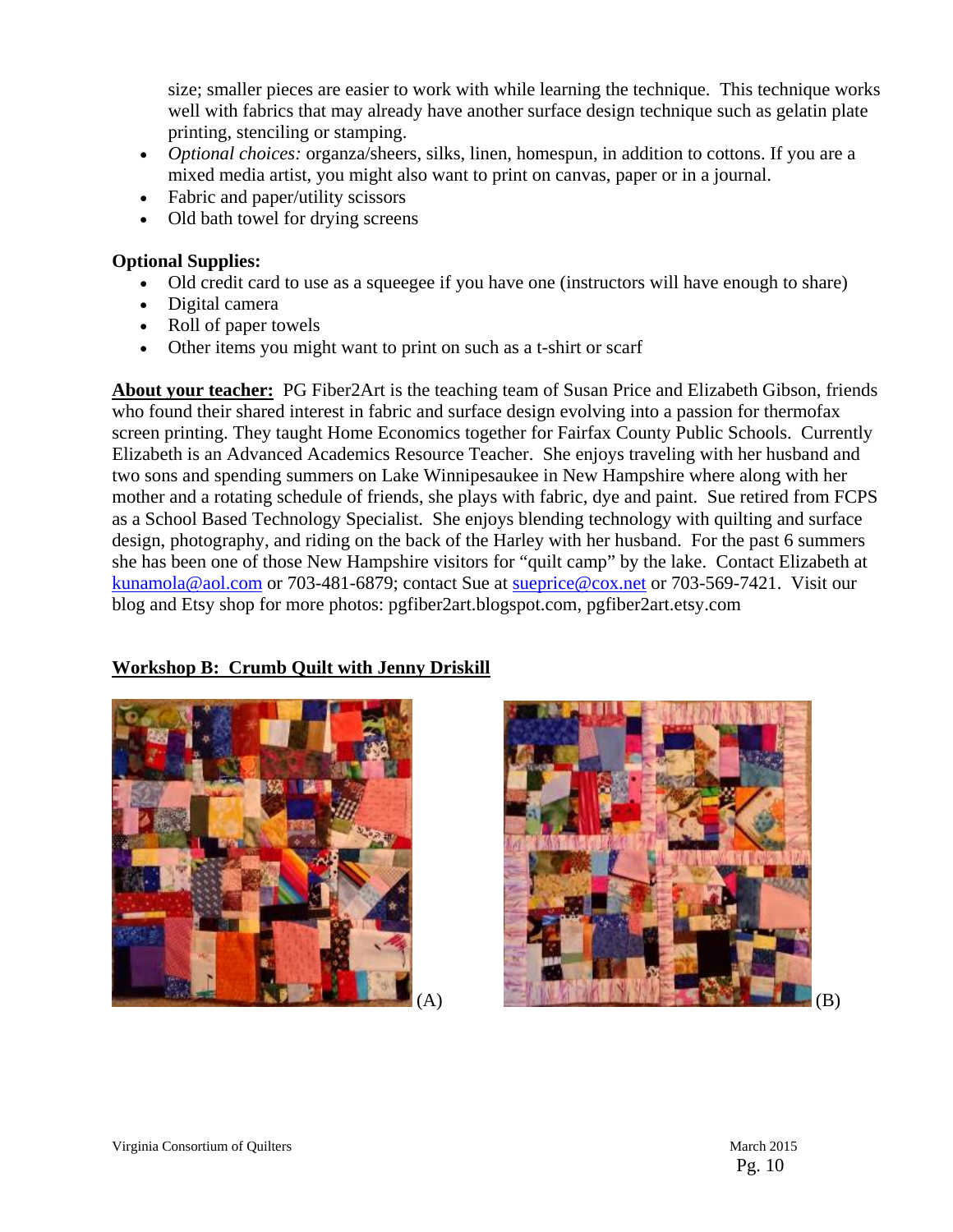size; smaller pieces are easier to work with while learning the technique. This technique works well with fabrics that may already have another surface design technique such as gelatin plate printing, stenciling or stamping.

- *Optional choices:* organza/sheers, silks, linen, homespun, in addition to cottons. If you are a mixed media artist, you might also want to print on canvas, paper or in a journal.
- Fabric and paper/utility scissors
- Old bath towel for drying screens

#### **Optional Supplies:**

- Old credit card to use as a squeegee if you have one (instructors will have enough to share)
- Digital camera
- Roll of paper towels
- Other items you might want to print on such as a t-shirt or scarf

**About your teacher:** PG Fiber2Art is the teaching team of Susan Price and Elizabeth Gibson, friends who found their shared interest in fabric and surface design evolving into a passion for thermofax screen printing. They taught Home Economics together for Fairfax County Public Schools. Currently Elizabeth is an Advanced Academics Resource Teacher. She enjoys traveling with her husband and two sons and spending summers on Lake Winnipesaukee in New Hampshire where along with her mother and a rotating schedule of friends, she plays with fabric, dye and paint. Sue retired from FCPS as a School Based Technology Specialist. She enjoys blending technology with quilting and surface design, photography, and riding on the back of the Harley with her husband. For the past 6 summers she has been one of those New Hampshire visitors for "quilt camp" by the lake. Contact Elizabeth at kunamola@aol.com or 703-481-6879; contact Sue at sueprice@cox.net or 703-569-7421. Visit our blog and Etsy shop for more photos: pgfiber2art.blogspot.com, pgfiber2art.etsy.com

#### **Workshop B: Crumb Quilt with Jenny Driskill**



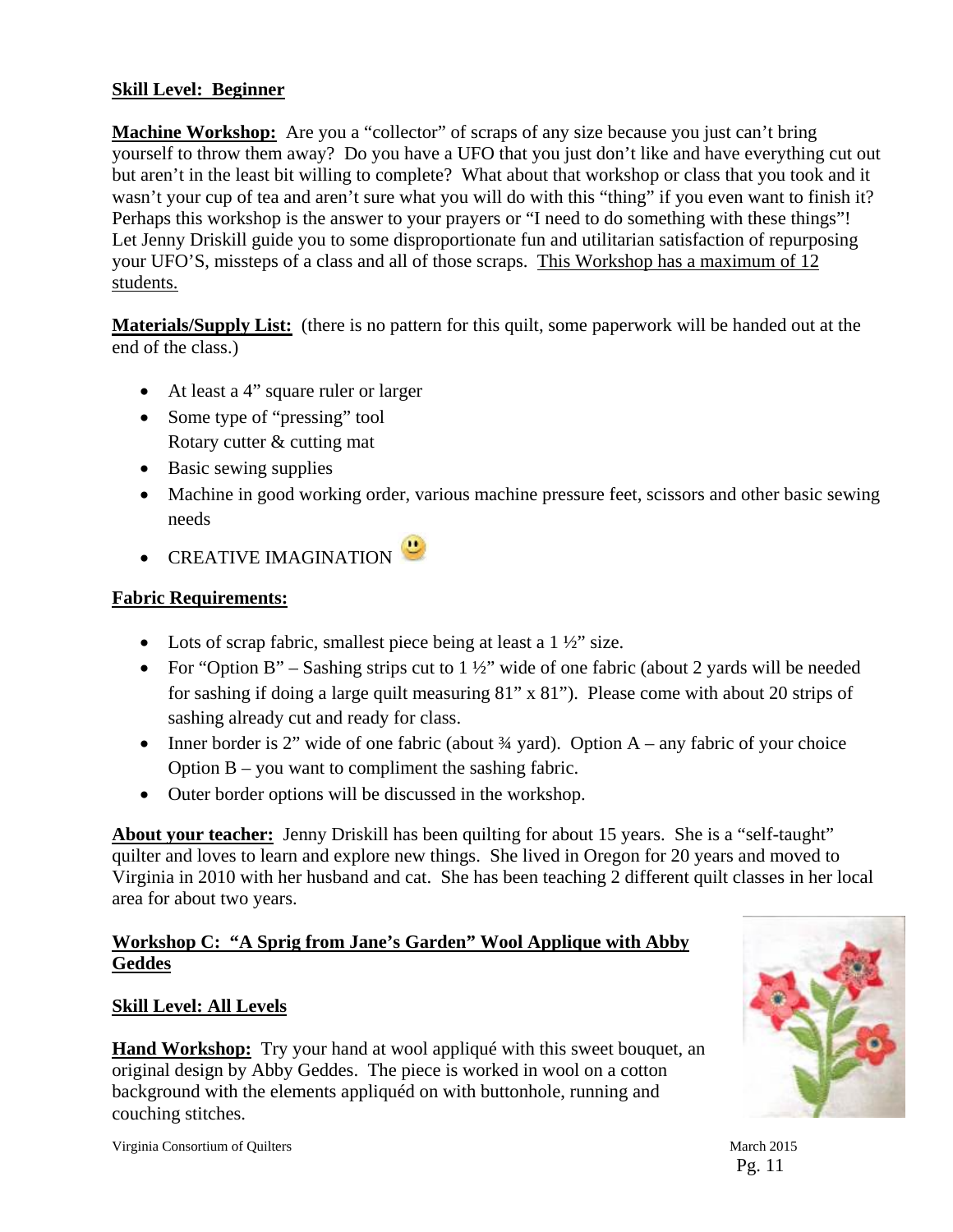#### **Skill Level: Beginner**

**Machine Workshop:** Are you a "collector" of scraps of any size because you just can't bring yourself to throw them away? Do you have a UFO that you just don't like and have everything cut out but aren't in the least bit willing to complete? What about that workshop or class that you took and it wasn't your cup of tea and aren't sure what you will do with this "thing" if you even want to finish it? Perhaps this workshop is the answer to your prayers or "I need to do something with these things"! Let Jenny Driskill guide you to some disproportionate fun and utilitarian satisfaction of repurposing your UFO'S, missteps of a class and all of those scraps. This Workshop has a maximum of 12 students.

**Materials/Supply List:** (there is no pattern for this quilt, some paperwork will be handed out at the end of the class.)

- At least a 4" square ruler or larger
- Some type of "pressing" tool Rotary cutter & cutting mat
- Basic sewing supplies
- Machine in good working order, various machine pressure feet, scissors and other basic sewing needs
- CREATIVE IMAGINATION

#### **Fabric Requirements:**

- Lots of scrap fabric, smallest piece being at least a  $1\frac{1}{2}$  size.
- For "Option B" Sashing strips cut to  $1\frac{1}{2}$ " wide of one fabric (about 2 yards will be needed for sashing if doing a large quilt measuring 81" x 81"). Please come with about 20 strips of sashing already cut and ready for class.
- Inner border is 2" wide of one fabric (about  $\frac{3}{4}$  yard). Option A any fabric of your choice Option B – you want to compliment the sashing fabric.
- Outer border options will be discussed in the workshop.

**About your teacher:** Jenny Driskill has been quilting for about 15 years. She is a "self-taught" quilter and loves to learn and explore new things. She lived in Oregon for 20 years and moved to Virginia in 2010 with her husband and cat. She has been teaching 2 different quilt classes in her local area for about two years.

#### **Workshop C: "A Sprig from Jane's Garden" Wool Applique with Abby Geddes**

#### **Skill Level: All Levels**

**Hand Workshop:** Try your hand at wool appliqué with this sweet bouquet, an original design by Abby Geddes. The piece is worked in wool on a cotton background with the elements appliquéd on with buttonhole, running and couching stitches.



Pg. 11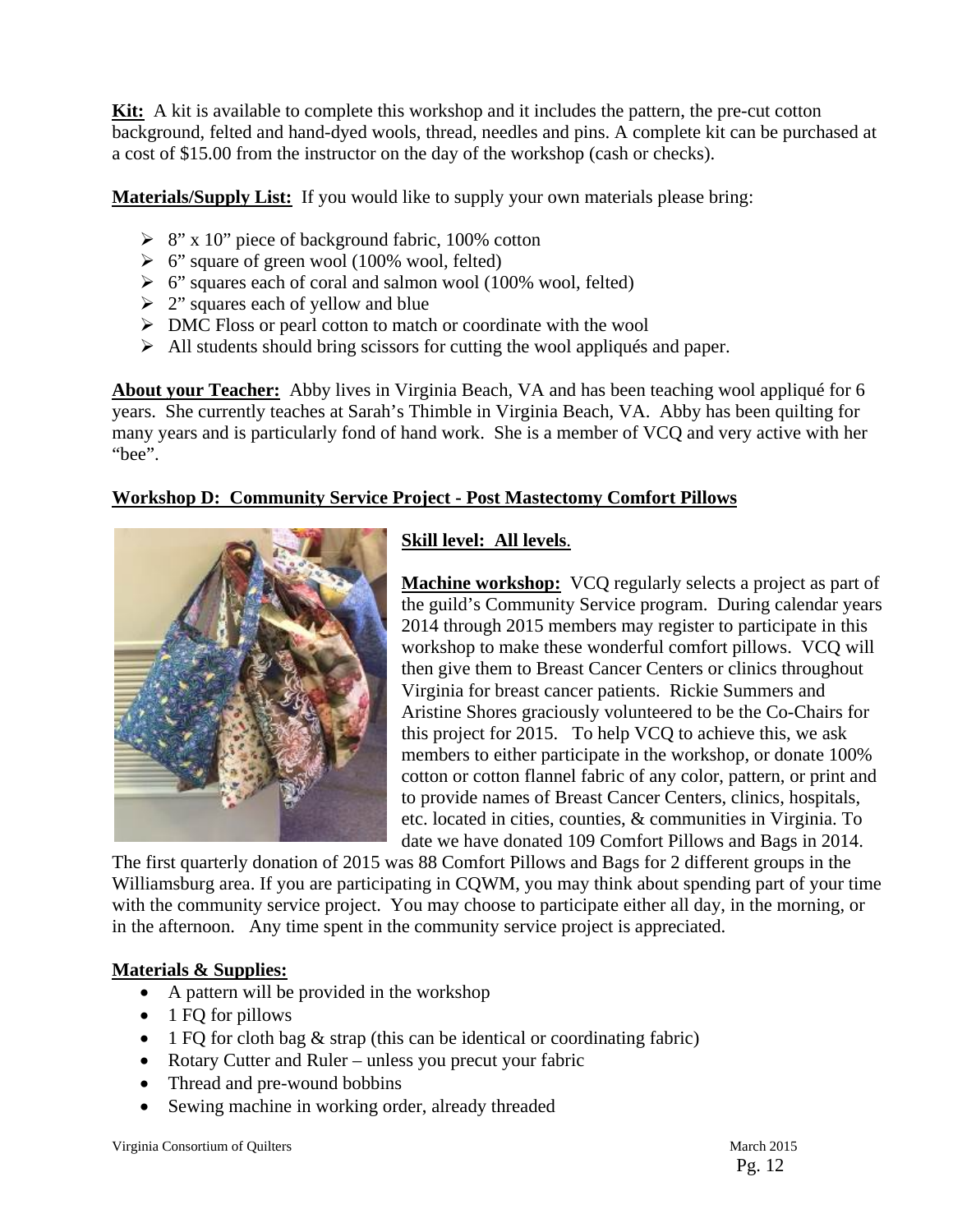**Kit:** A kit is available to complete this workshop and it includes the pattern, the pre-cut cotton background, felted and hand-dyed wools, thread, needles and pins. A complete kit can be purchased at a cost of \$15.00 from the instructor on the day of the workshop (cash or checks).

**Materials/Supply List:** If you would like to supply your own materials please bring:

- $\triangleright$  8" x 10" piece of background fabric, 100% cotton
- $\triangleright$  6" square of green wool (100% wool, felted)
- $\triangleright$  6" squares each of coral and salmon wool (100% wool, felted)
- $\geq 2$ " squares each of yellow and blue
- DMC Floss or pearl cotton to match or coordinate with the wool
- $\triangleright$  All students should bring scissors for cutting the wool appliqués and paper.

**About your Teacher:** Abby lives in Virginia Beach, VA and has been teaching wool appliqué for 6 years. She currently teaches at Sarah's Thimble in Virginia Beach, VA. Abby has been quilting for many years and is particularly fond of hand work. She is a member of VCQ and very active with her "bee".

#### **Workshop D: Community Service Project - Post Mastectomy Comfort Pillows**



#### **Skill level: All levels**.

**Machine workshop:** VCQ regularly selects a project as part of the guild's Community Service program. During calendar years 2014 through 2015 members may register to participate in this workshop to make these wonderful comfort pillows. VCQ will then give them to Breast Cancer Centers or clinics throughout Virginia for breast cancer patients. Rickie Summers and Aristine Shores graciously volunteered to be the Co-Chairs for this project for 2015. To help VCQ to achieve this, we ask members to either participate in the workshop, or donate 100% cotton or cotton flannel fabric of any color, pattern, or print and to provide names of Breast Cancer Centers, clinics, hospitals, etc. located in cities, counties, & communities in Virginia. To date we have donated 109 Comfort Pillows and Bags in 2014.

The first quarterly donation of 2015 was 88 Comfort Pillows and Bags for 2 different groups in the Williamsburg area. If you are participating in CQWM, you may think about spending part of your time with the community service project. You may choose to participate either all day, in the morning, or in the afternoon. Any time spent in the community service project is appreciated.

#### **Materials & Supplies:**

- A pattern will be provided in the workshop
- $\bullet$  1 FQ for pillows
- $\bullet$  1 FQ for cloth bag & strap (this can be identical or coordinating fabric)
- Rotary Cutter and Ruler unless you precut your fabric
- Thread and pre-wound bobbins
- Sewing machine in working order, already threaded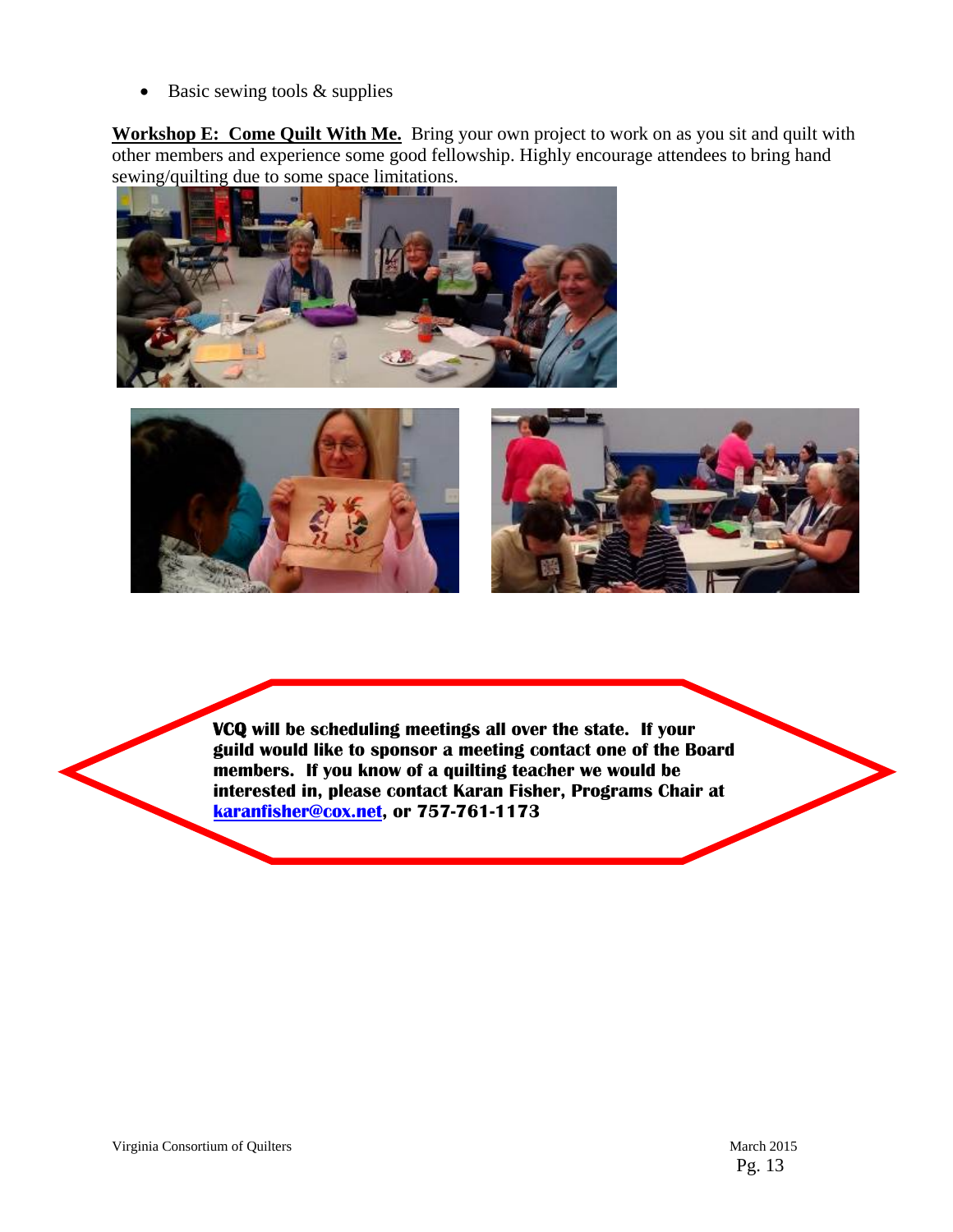$\bullet$  Basic sewing tools & supplies

**Workshop E: Come Quilt With Me.** Bring your own project to work on as you sit and quilt with other members and experience some good fellowship. Highly encourage attendees to bring hand sewing/quilting due to some space limitations.







*<u><i>* </u> **VCQ will be scheduling meetings all over the state. If your guild would like to sponsor a meeting contact one of the Board members. If you know of a quilting teacher we would be interested in, please contact Karan Fisher, Programs Chair at karanfisher@cox.net, or 757-761-1173** 

l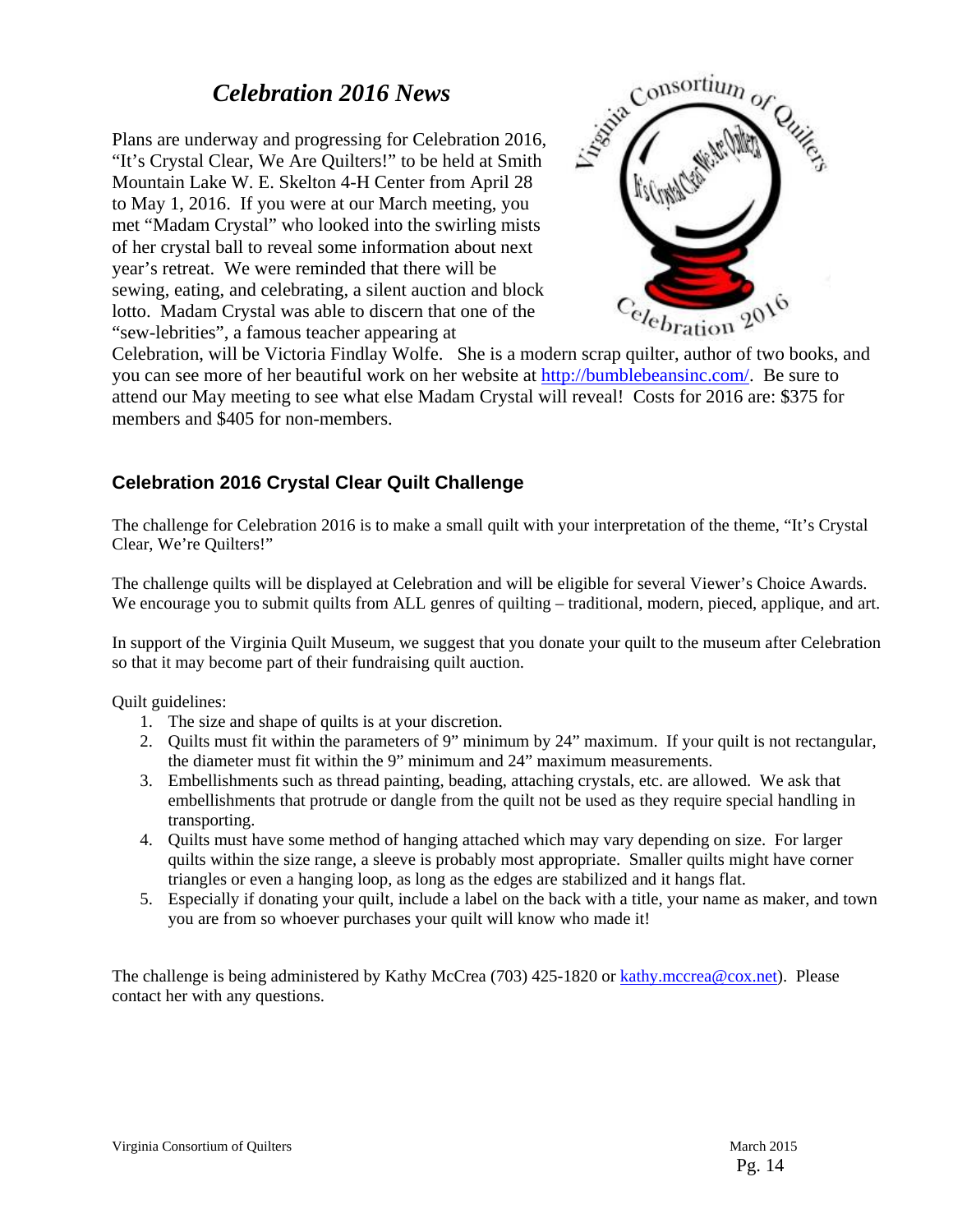## *Celebration 2016 News*

Plans are underway and progressing for Celebration 2016, "It's Crystal Clear, We Are Quilters!" to be held at Smith Mountain Lake W. E. Skelton 4-H Center from April 28 to May 1, 2016. If you were at our March meeting, you met "Madam Crystal" who looked into the swirling mists of her crystal ball to reveal some information about next year's retreat. We were reminded that there will be sewing, eating, and celebrating, a silent auction and block lotto. Madam Crystal was able to discern that one of the "sew-lebrities", a famous teacher appearing at



Celebration, will be Victoria Findlay Wolfe. She is a modern scrap quilter, author of two books, and you can see more of her beautiful work on her website at http://bumblebeansinc.com/. Be sure to attend our May meeting to see what else Madam Crystal will reveal! Costs for 2016 are: \$375 for members and \$405 for non-members.

#### **Celebration 2016 Crystal Clear Quilt Challenge**

The challenge for Celebration 2016 is to make a small quilt with your interpretation of the theme, "It's Crystal Clear, We're Quilters!"

The challenge quilts will be displayed at Celebration and will be eligible for several Viewer's Choice Awards. We encourage you to submit quilts from ALL genres of quilting – traditional, modern, pieced, applique, and art.

In support of the Virginia Quilt Museum, we suggest that you donate your quilt to the museum after Celebration so that it may become part of their fundraising quilt auction.

Quilt guidelines:

- 1. The size and shape of quilts is at your discretion.
- 2. Quilts must fit within the parameters of 9" minimum by 24" maximum. If your quilt is not rectangular, the diameter must fit within the 9" minimum and 24" maximum measurements.
- 3. Embellishments such as thread painting, beading, attaching crystals, etc. are allowed. We ask that embellishments that protrude or dangle from the quilt not be used as they require special handling in transporting.
- 4. Quilts must have some method of hanging attached which may vary depending on size. For larger quilts within the size range, a sleeve is probably most appropriate. Smaller quilts might have corner triangles or even a hanging loop, as long as the edges are stabilized and it hangs flat.
- 5. Especially if donating your quilt, include a label on the back with a title, your name as maker, and town you are from so whoever purchases your quilt will know who made it!

The challenge is being administered by Kathy McCrea (703) 425-1820 or kathy.mccrea@cox.net). Please contact her with any questions.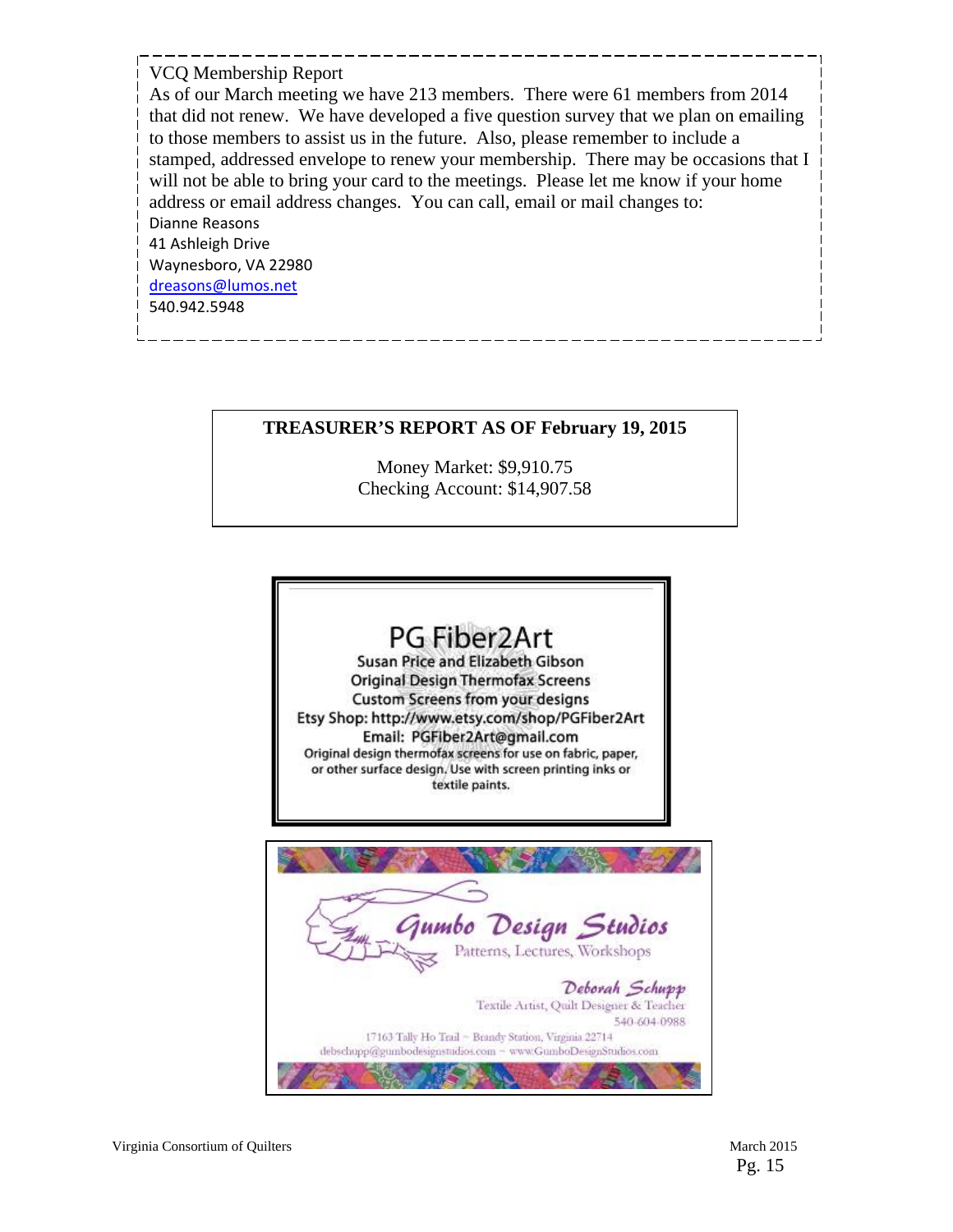#### VCQ Membership Report

As of our March meeting we have 213 members. There were 61 members from 2014 that did not renew. We have developed a five question survey that we plan on emailing to those members to assist us in the future. Also, please remember to include a stamped, addressed envelope to renew your membership. There may be occasions that I will not be able to bring your card to the meetings. Please let me know if your home address or email address changes. You can call, email or mail changes to: Dianne Reasons 41 Ashleigh Drive Waynesboro, VA 22980 dreasons@lumos.net 540.942.5948

#### **TREASURER'S REPORT AS OF February 19, 2015**

Money Market: \$9,910.75 Checking Account: \$14,907.58

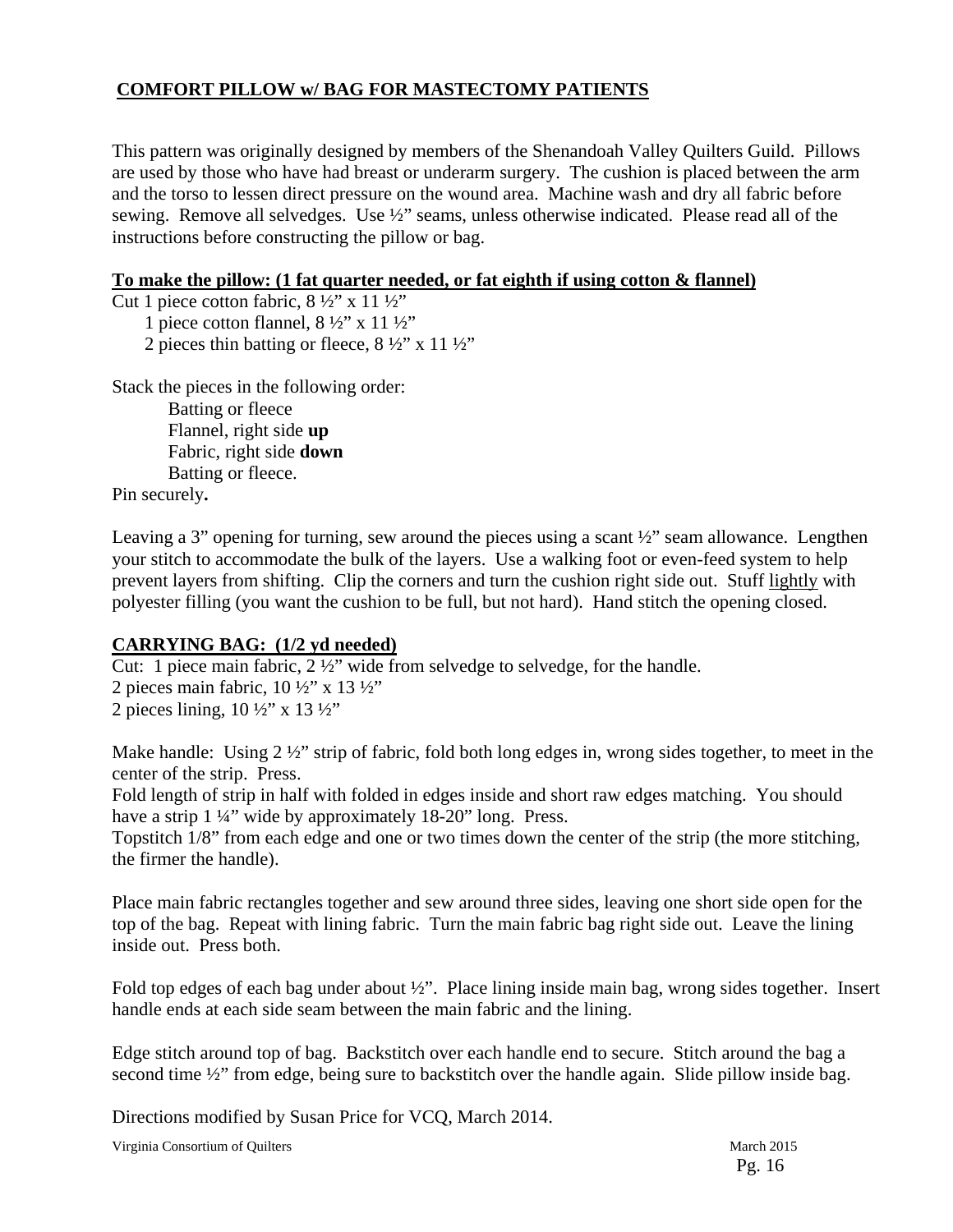#### **COMFORT PILLOW w/ BAG FOR MASTECTOMY PATIENTS**

This pattern was originally designed by members of the Shenandoah Valley Quilters Guild. Pillows are used by those who have had breast or underarm surgery. The cushion is placed between the arm and the torso to lessen direct pressure on the wound area. Machine wash and dry all fabric before sewing. Remove all selvedges. Use ½" seams, unless otherwise indicated. Please read all of the instructions before constructing the pillow or bag.

#### **To make the pillow: (1 fat quarter needed, or fat eighth if using cotton & flannel)**

Cut 1 piece cotton fabric,  $8\frac{1}{2}$ " x 11  $\frac{1}{2}$ "

1 piece cotton flannel,  $8\frac{1}{2}$ " x 11  $\frac{1}{2}$ "

2 pieces thin batting or fleece,  $8\frac{1}{2}$ " x 11 $\frac{1}{2}$ "

Stack the pieces in the following order:

Batting or fleece Flannel, right side **up**  Fabric, right side **down**  Batting or fleece.

Pin securely**.** 

Leaving a 3" opening for turning, sew around the pieces using a scant  $\frac{1}{2}$ " seam allowance. Lengthen your stitch to accommodate the bulk of the layers. Use a walking foot or even-feed system to help prevent layers from shifting. Clip the corners and turn the cushion right side out. Stuff lightly with polyester filling (you want the cushion to be full, but not hard). Hand stitch the opening closed.

#### **CARRYING BAG: (1/2 yd needed)**

Cut: 1 piece main fabric, 2 ½" wide from selvedge to selvedge, for the handle.

2 pieces main fabric,  $10\frac{1}{2}$ " x  $13\frac{1}{2}$ " 2 pieces lining,  $10 \frac{1}{2}$ " x  $13 \frac{1}{2}$ "

Make handle: Using 2 ½" strip of fabric, fold both long edges in, wrong sides together, to meet in the center of the strip. Press.

Fold length of strip in half with folded in edges inside and short raw edges matching. You should have a strip 1 ¼" wide by approximately 18-20" long. Press.

Topstitch 1/8" from each edge and one or two times down the center of the strip (the more stitching, the firmer the handle).

Place main fabric rectangles together and sew around three sides, leaving one short side open for the top of the bag. Repeat with lining fabric. Turn the main fabric bag right side out. Leave the lining inside out. Press both.

Fold top edges of each bag under about ½". Place lining inside main bag, wrong sides together. Insert handle ends at each side seam between the main fabric and the lining.

Edge stitch around top of bag. Backstitch over each handle end to secure. Stitch around the bag a second time  $\frac{1}{2}$ " from edge, being sure to backstitch over the handle again. Slide pillow inside bag.

Directions modified by Susan Price for VCQ, March 2014.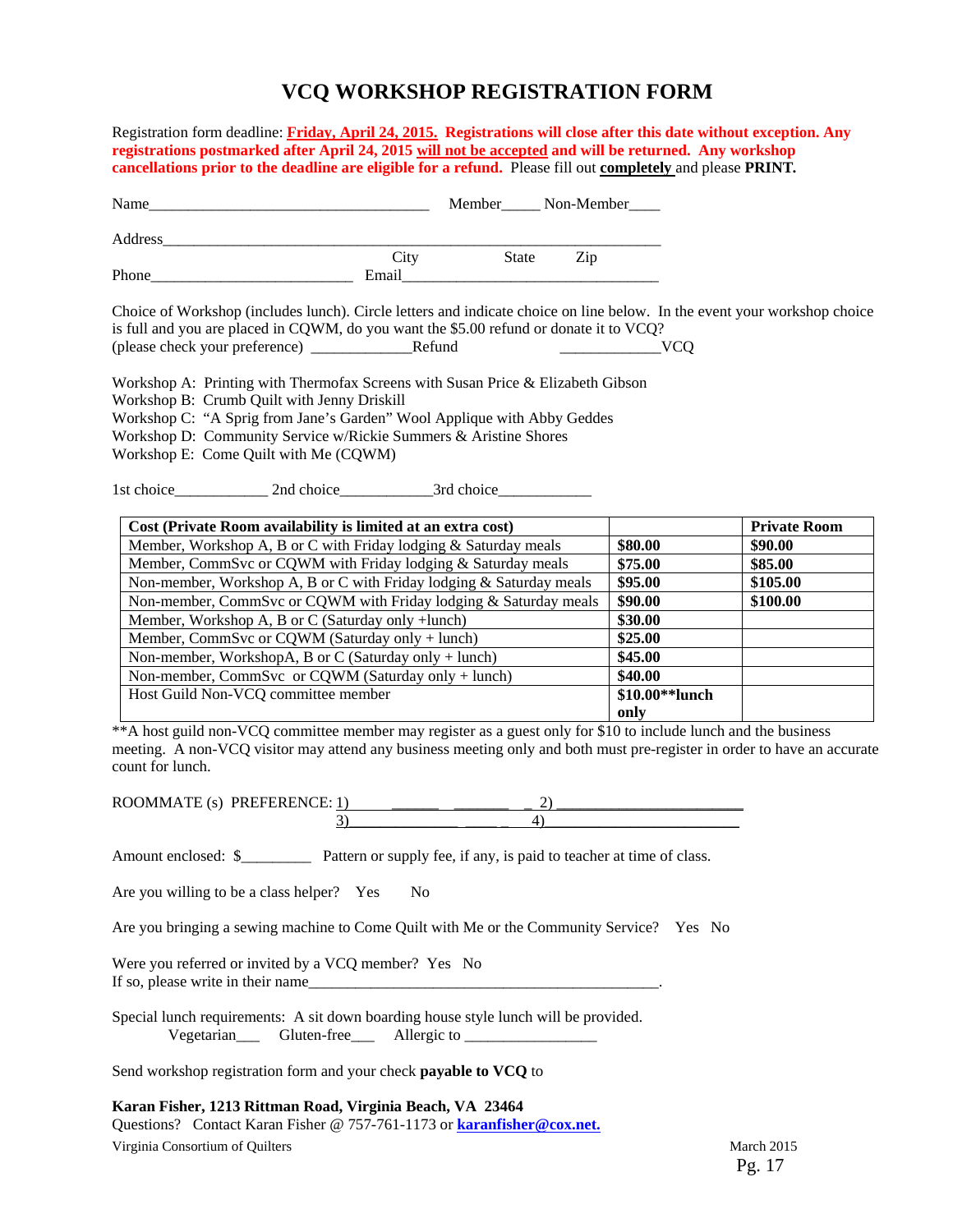#### **VCQ WORKSHOP REGISTRATION FORM**

Registration form deadline: **Friday, April 24, 2015.****Registrations will close after this date without exception. Any registrations postmarked after April 24, 2015 will not be accepted and will be returned. Any workshop cancellations prior to the deadline are eligible for a refund.** Please fill out **completely** and please **PRINT***.*  Name\_\_\_\_\_\_\_\_\_\_\_\_\_\_\_\_\_\_\_\_\_\_\_\_\_\_\_\_\_\_\_\_\_\_\_\_ Member\_\_\_\_\_ Non-Member\_\_\_\_ Address\_\_\_\_\_\_\_\_\_\_\_\_\_\_\_\_\_\_\_\_\_\_\_\_\_\_\_\_\_\_\_\_\_\_\_\_\_\_\_\_\_\_\_\_\_\_\_\_\_\_\_\_\_\_\_\_\_\_\_\_\_\_\_\_ City State Zip Phone Email Choice of Workshop (includes lunch). Circle letters and indicate choice on line below. In the event your workshop choice is full and you are placed in CQWM, do you want the \$5.00 refund or donate it to VCQ? (please check your preference) \_\_\_\_\_\_\_\_\_\_\_\_\_Refund \_\_\_\_\_\_\_\_\_\_\_\_\_VCQ Workshop A: Printing with Thermofax Screens with Susan Price & Elizabeth Gibson Workshop B: Crumb Quilt with Jenny Driskill Workshop C: "A Sprig from Jane's Garden" Wool Applique with Abby Geddes Workshop D: Community Service w/Rickie Summers & Aristine Shores Workshop E: Come Quilt with Me (CQWM) 1st choice 2nd choice 3rd choice **Cost (Private Room availability is limited at an extra cost)** Private Room **Private Room** Member, Workshop A, B or C with Friday lodging & Saturday meals **\$80.00 \$90.00**  Member, CommSvc or CQWM with Friday lodging & Saturday meals **\$75.00 \$85.00 \$85.00** Non-member, Workshop A, B or C with Friday lodging & Saturday meals **\$95.00 \$105.00 \$105.00** Non-member, CommSvc or CQWM with Friday lodging & Saturday meals **\$90.00** \$100.00 Member, Workshop A, B or C (Saturday only +lunch) **\$30.00**  Member, CommSvc or CQWM (Saturday only + lunch) **\$25.00 \$25.00** Non-member, WorkshopA, B or C (Saturday only + lunch) **\$45.00 \$45.00** Non-member, CommSvc or CQWM (Saturday only + lunch) \$40.00 Host Guild Non-VCQ committee member **\$10.00\*\*lunch only**  \*\*A host guild non-VCQ committee member may register as a guest only for \$10 to include lunch and the business meeting. A non-VCQ visitor may attend any business meeting only and both must pre-register in order to have an accurate count for lunch. ROOMMATE (s) PREFERENCE: 1) \_\_\_\_\_\_ \_\_\_\_\_\_\_ \_ 2) \_\_\_\_\_\_\_\_\_\_\_\_\_\_\_\_\_\_\_\_\_\_\_\_  $3)$ Amount enclosed: \$\_\_\_\_\_\_\_\_\_ Pattern or supply fee, if any, is paid to teacher at time of class. Are you willing to be a class helper? Yes No Are you bringing a sewing machine to Come Quilt with Me or the Community Service? Yes No Were you referred or invited by a VCQ member? Yes No If so, please write in their name\_\_\_\_\_\_\_\_\_\_\_\_\_\_\_\_\_\_\_\_\_\_\_\_\_\_\_\_\_\_\_\_\_\_\_\_\_\_\_\_\_\_\_\_\_. Special lunch requirements: A sit down boarding house style lunch will be provided. Vegetarian\_\_\_ Gluten-free\_\_\_ Allergic to \_\_\_\_\_\_\_\_\_\_\_\_\_\_\_\_\_

Send workshop registration form and your check **payable to VCQ** to

Virginia Consortium of Quilters March 2015 **Karan Fisher, 1213 Rittman Road, Virginia Beach, VA 23464**  Questions? Contact Karan Fisher @ 757-761-1173 or **karanfisher@cox.net.**